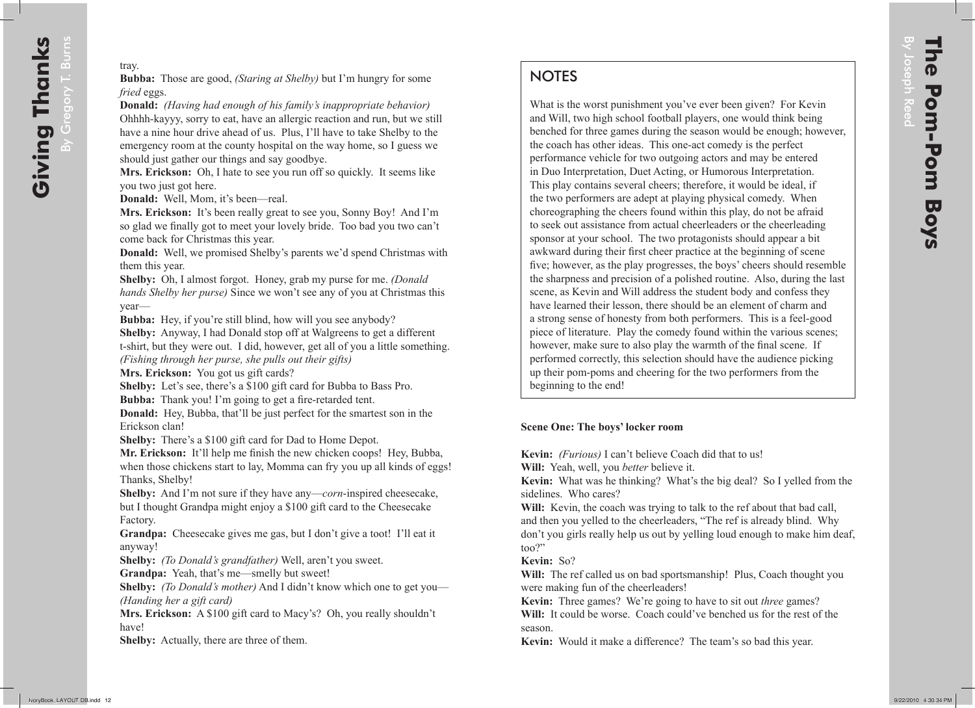# **NOTES**

What is the worst punishment you've ever been given? For Kevin and Will, two high school football players, one would think being benched for three games during the season would be enough; however, the coach has other ideas. This one-act comedy is the perfect performance vehicle for two outgoing actors and may be entered in Duo Interpretation, Duet Acting, or Humorous Interpretation. This play contains several cheers; therefore, it would be ideal, if the two performers are adept at playing physical comedy. When choreographing the cheers found within this play, do not be afraid to seek out assistance from actual cheerleaders or the cheerleading sponsor at your school. The two protagonists should appear a bit awkward during their first cheer practice at the beginning of scene five; however, as the play progresses, the boys' cheers should resemble the sharpness and precision of a polished routine. Also, during the last scene, as Kevin and Will address the student body and confess they have learned their lesson, there should be an element of charm and a strong sense of honesty from both performers. This is a feel-good piece of literature. Play the comedy found within the various scenes; however, make sure to also play the warmth of the final scene. If performed correctly, this selection should have the audience picking up their pom-poms and cheering for the two performers from the beginning to the end!

## **Scene One: The boys' locker room**

**Kevin:** *(Furious)* I can't believe Coach did that to us!

**Will:** Yeah, well, you *better* believe it.

**Kevin:** What was he thinking? What's the big deal? So I yelled from the sidelines. Who cares?

**Will:** Kevin, the coach was trying to talk to the ref about that bad call, and then you yelled to the cheerleaders, "The ref is already blind. Why don't you girls really help us out by yelling loud enough to make him deaf, too?"

## **Kevin:** So?

Will: The ref called us on bad sportsmanship! Plus, Coach thought you were making fun of the cheerleaders!

**Kevin:** Three games? We're going to have to sit out *three* games? **Will:** It could be worse. Coach could've benched us for the rest of the season.

**Kevin:** Would it make a difference? The team's so bad this year.

By Joseph

Reed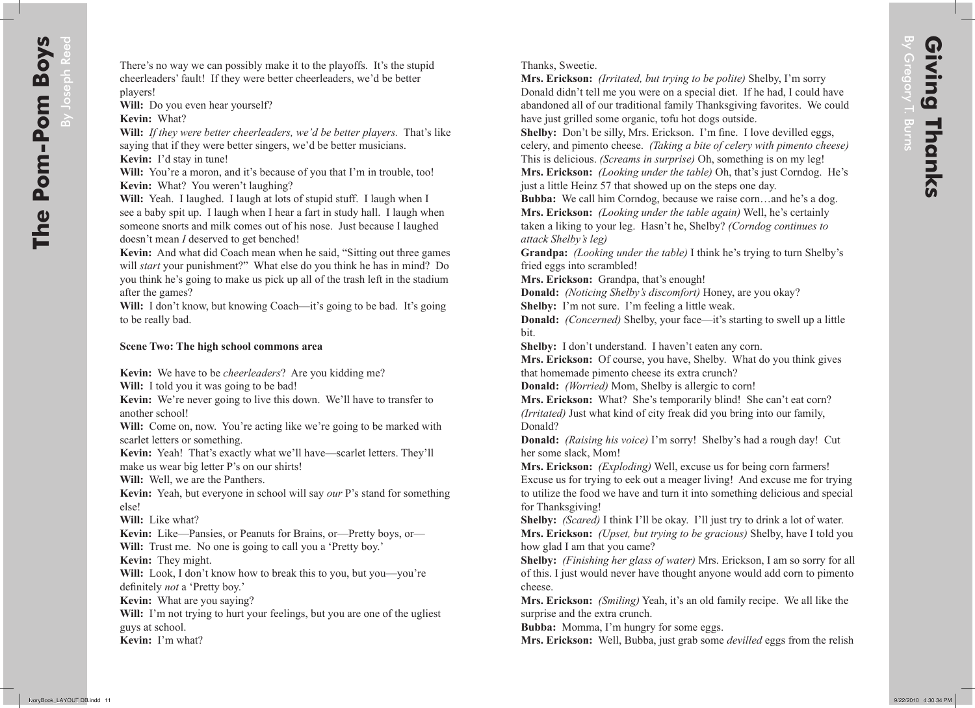By Joseph

Reed

There's no way we can possibly make it to the playoffs. It's the stupid cheerleaders' fault! If they were better cheerleaders, we'd be better players!

Will: Do you even hear yourself?

**Kevin:** What?

**Will:** *If they were better cheerleaders, we'd be better players.* That's like saying that if they were better singers, we'd be better musicians. **Kevin:** I'd stay in tune!

Will: You're a moron, and it's because of you that I'm in trouble, too! **Kevin:** What? You weren't laughing?

**Will:** Yeah. I laughed. I laugh at lots of stupid stuff. I laugh when I see a baby spit up. I laugh when I hear a fart in study hall. I laugh when someone snorts and milk comes out of his nose. Just because I laughed doesn't mean *I* deserved to get benched!

**Kevin:** And what did Coach mean when he said, "Sitting out three games will *start* your punishment?" What else do you think he has in mind? Do you think he's going to make us pick up all of the trash left in the stadium after the games?

**Will:** I don't know, but knowing Coach—it's going to be bad. It's going to be really bad.

#### **Scene Two: The high school commons area**

**Kevin:** We have to be *cheerleaders*? Are you kidding me?

**Will:** I told you it was going to be bad!

**Kevin:** We're never going to live this down. We'll have to transfer to another school!

Will: Come on, now. You're acting like we're going to be marked with scarlet letters or something.

**Kevin:** Yeah! That's exactly what we'll have—scarlet letters. They'll make us wear big letter P's on our shirts!

**Will:** Well, we are the Panthers.

**Kevin:** Yeah, but everyone in school will say *our* P's stand for something else!

**Will:** Like what?

**Kevin:** Like—Pansies, or Peanuts for Brains, or—Pretty boys, or— **Will:** Trust me. No one is going to call you a 'Pretty boy.'

**Kevin:** They might.

**Will:** Look, I don't know how to break this to you, but you—you're definitely *not* a 'Pretty boy.'

**Kevin:** What are you saying?

**Will:** I'm not trying to hurt your feelings, but you are one of the ugliest guys at school.

**Kevin:** I'm what?